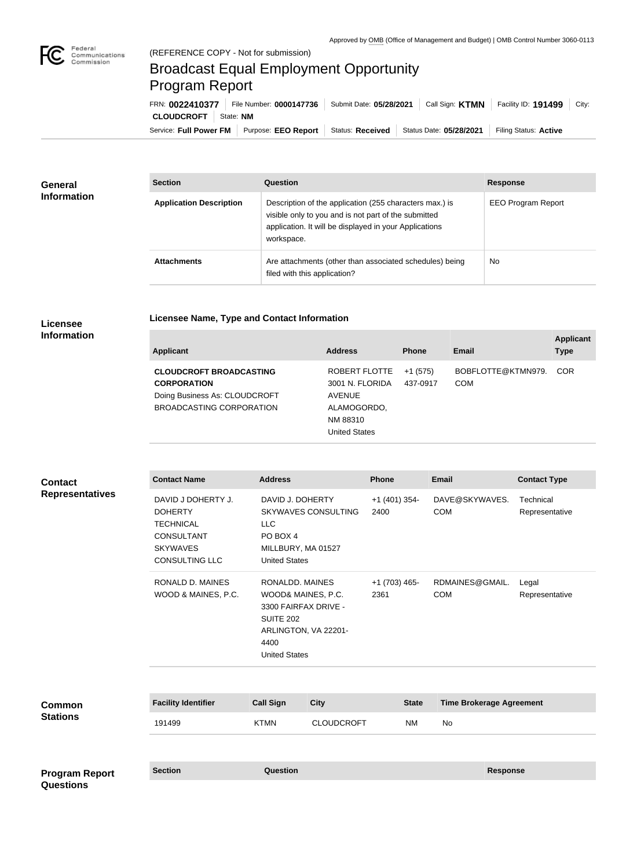

## Broadcast Equal Employment Opportunity Program Report

Service: Full Power FM Purpose: EEO Report | Status: Received | Status Date: 05/28/2021 | Filing Status: Active **CLOUDCROFT** State: NM FRN: **0022410377** File Number: **0000147736** Submit Date: **05/28/2021** Call Sign: **KTMN** Facility ID: **191499** City:

| <b>General</b><br><b>Information</b> | <b>Section</b>                 | Question                                                                                                                                                                                | <b>Response</b>           |  |
|--------------------------------------|--------------------------------|-----------------------------------------------------------------------------------------------------------------------------------------------------------------------------------------|---------------------------|--|
|                                      | <b>Application Description</b> | Description of the application (255 characters max.) is<br>visible only to you and is not part of the submitted<br>application. It will be displayed in your Applications<br>workspace. | <b>EEO Program Report</b> |  |
|                                      | <b>Attachments</b>             | Are attachments (other than associated schedules) being<br>filed with this application?                                                                                                 | <b>No</b>                 |  |

## **Licensee Information**

|  | Licensee Name, Type and Contact Information |  |
|--|---------------------------------------------|--|
|--|---------------------------------------------|--|

| <b>Applicant</b>                                                                      | <b>Address</b>                                    | <b>Phone</b>          | Email                            | <b>Applicant</b><br><b>Type</b> |
|---------------------------------------------------------------------------------------|---------------------------------------------------|-----------------------|----------------------------------|---------------------------------|
| <b>CLOUDCROFT BROADCASTING</b><br><b>CORPORATION</b><br>Doing Business As: CLOUDCROFT | ROBERT FLOTTE<br>3001 N. FLORIDA<br><b>AVENUE</b> | $+1(575)$<br>437-0917 | BOBFLOTTE@KTMN979.<br><b>COM</b> | <b>COR</b>                      |
| BROADCASTING CORPORATION                                                              | ALAMOGORDO,<br>NM 88310<br><b>United States</b>   |                       |                                  |                                 |

| <b>Contact</b>                            | <b>Contact Name</b>                                                                                                | <b>Address</b>                                                                                                                            |                            | <b>Phone</b>            | <b>Email</b>                    | <b>Contact Type</b>         |
|-------------------------------------------|--------------------------------------------------------------------------------------------------------------------|-------------------------------------------------------------------------------------------------------------------------------------------|----------------------------|-------------------------|---------------------------------|-----------------------------|
| <b>Representatives</b>                    | DAVID J DOHERTY J.<br><b>DOHERTY</b><br><b>TECHNICAL</b><br>CONSULTANT<br><b>SKYWAVES</b><br><b>CONSULTING LLC</b> | DAVID J. DOHERTY<br><b>LLC</b><br>PO BOX 4<br>MILLBURY, MA 01527<br><b>United States</b>                                                  | <b>SKYWAVES CONSULTING</b> | $+1$ (401) 354-<br>2400 | DAVE@SKYWAVES.<br><b>COM</b>    | Technical<br>Representative |
|                                           | <b>RONALD D. MAINES</b><br>WOOD & MAINES, P.C.                                                                     | RONALDD. MAINES<br>WOOD& MAINES, P.C.<br>3300 FAIRFAX DRIVE -<br><b>SUITE 202</b><br>ARLINGTON, VA 22201-<br>4400<br><b>United States</b> |                            | $+1$ (703) 465-<br>2361 | RDMAINES@GMAIL.<br><b>COM</b>   | Legal<br>Representative     |
| <b>Common</b><br><b>Stations</b>          | <b>Facility Identifier</b>                                                                                         | <b>Call Sign</b>                                                                                                                          | <b>City</b>                | <b>State</b>            | <b>Time Brokerage Agreement</b> |                             |
|                                           | 191499                                                                                                             | <b>KTMN</b>                                                                                                                               | <b>CLOUDCROFT</b>          | <b>NM</b>               | No                              |                             |
| <b>Program Report</b><br><b>Questions</b> | <b>Section</b>                                                                                                     | <b>Question</b>                                                                                                                           |                            |                         | <b>Response</b>                 |                             |